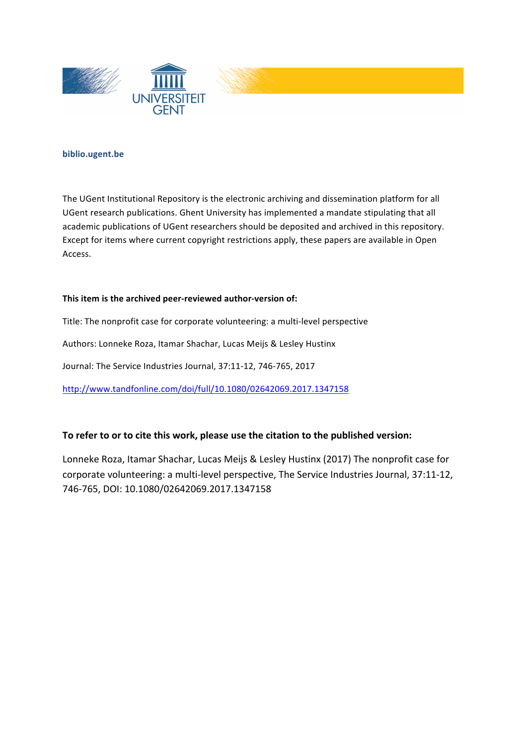





#### **biblio.ugent.be**

The UGent Institutional Repository is the electronic archiving and dissemination platform for all UGent research publications. Ghent University has implemented a mandate stipulating that all academic publications of UGent researchers should be deposited and archived in this repository. Except for items where current copyright restrictions apply, these papers are available in Open Access.

#### This item is the archived peer-reviewed author-version of:

Title: The nonprofit case for corporate volunteering: a multi-level perspective

Authors: Lonneke Roza, Itamar Shachar, Lucas Meijs & Lesley Hustinx

Journal: The Service Industries Journal, 37:11-12, 746-765, 2017

http://www.tandfonline.com/doi/full/10.1080/02642069.2017.1347158

## To refer to or to cite this work, please use the citation to the published version:

Lonneke Roza, Itamar Shachar, Lucas Meijs & Lesley Hustinx (2017) The nonprofit case for corporate volunteering: a multi-level perspective, The Service Industries Journal, 37:11-12, 746-765, DOI: 10.1080/02642069.2017.1347158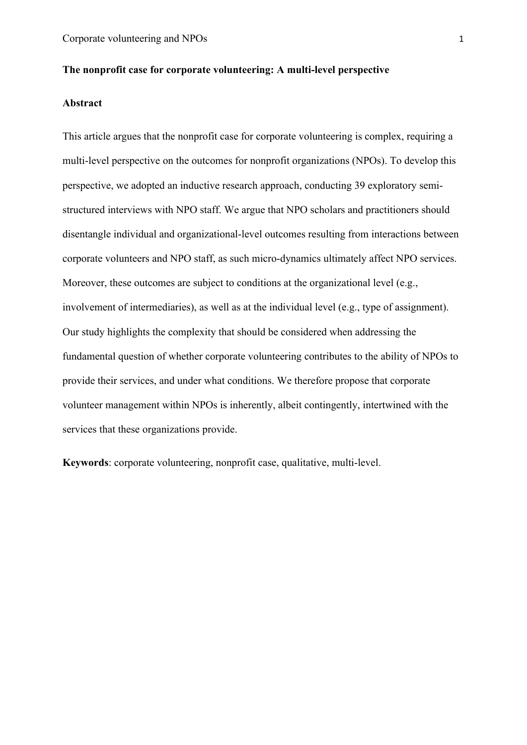## **The nonprofit case for corporate volunteering: A multi-level perspective**

## **Abstract**

This article argues that the nonprofit case for corporate volunteering is complex, requiring a multi-level perspective on the outcomes for nonprofit organizations (NPOs). To develop this perspective, we adopted an inductive research approach, conducting 39 exploratory semistructured interviews with NPO staff. We argue that NPO scholars and practitioners should disentangle individual and organizational-level outcomes resulting from interactions between corporate volunteers and NPO staff, as such micro-dynamics ultimately affect NPO services. Moreover, these outcomes are subject to conditions at the organizational level (e.g., involvement of intermediaries), as well as at the individual level (e.g., type of assignment). Our study highlights the complexity that should be considered when addressing the fundamental question of whether corporate volunteering contributes to the ability of NPOs to provide their services, and under what conditions. We therefore propose that corporate volunteer management within NPOs is inherently, albeit contingently, intertwined with the services that these organizations provide.

**Keywords**: corporate volunteering, nonprofit case, qualitative, multi-level.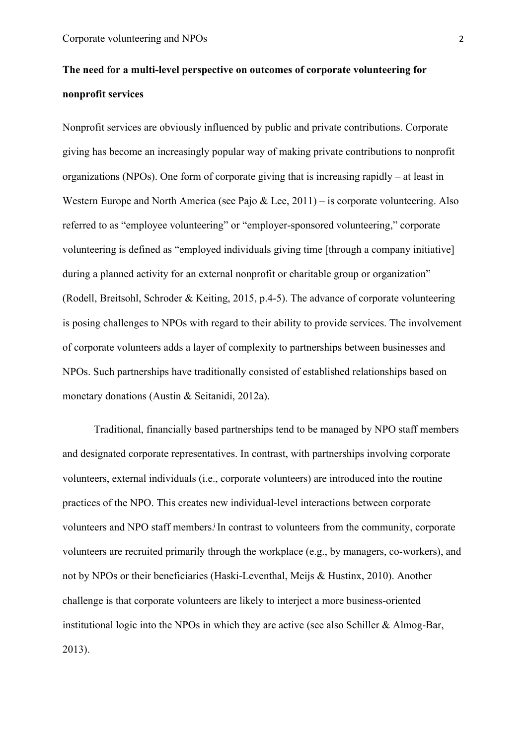## **The need for a multi-level perspective on outcomes of corporate volunteering for nonprofit services**

Nonprofit services are obviously influenced by public and private contributions. Corporate giving has become an increasingly popular way of making private contributions to nonprofit organizations (NPOs). One form of corporate giving that is increasing rapidly – at least in Western Europe and North America (see Pajo  $\&$  Lee, 2011) – is corporate volunteering. Also referred to as "employee volunteering" or "employer-sponsored volunteering," corporate volunteering is defined as "employed individuals giving time [through a company initiative] during a planned activity for an external nonprofit or charitable group or organization" (Rodell, Breitsohl, Schroder & Keiting, 2015, p.4-5). The advance of corporate volunteering is posing challenges to NPOs with regard to their ability to provide services. The involvement of corporate volunteers adds a layer of complexity to partnerships between businesses and NPOs. Such partnerships have traditionally consisted of established relationships based on monetary donations (Austin & Seitanidi, 2012a).

Traditional, financially based partnerships tend to be managed by NPO staff members and designated corporate representatives. In contrast, with partnerships involving corporate volunteers, external individuals (i.e., corporate volunteers) are introduced into the routine practices of the NPO. This creates new individual-level interactions between corporate volunteers and NPO staff members.<sup>i</sup> In contrast to volunteers from the community, corporate volunteers are recruited primarily through the workplace (e.g., by managers, co-workers), and not by NPOs or their beneficiaries (Haski-Leventhal, Meijs & Hustinx, 2010). Another challenge is that corporate volunteers are likely to interject a more business-oriented institutional logic into the NPOs in which they are active (see also Schiller & Almog-Bar, 2013).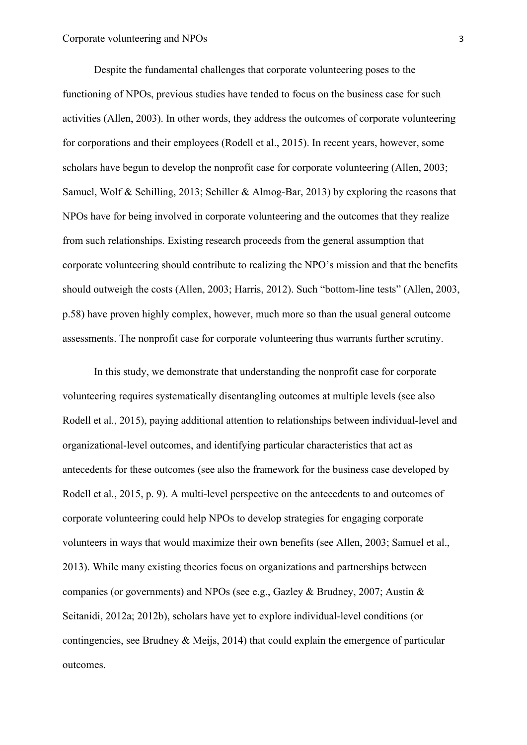Despite the fundamental challenges that corporate volunteering poses to the functioning of NPOs, previous studies have tended to focus on the business case for such activities (Allen, 2003). In other words, they address the outcomes of corporate volunteering for corporations and their employees (Rodell et al., 2015). In recent years, however, some scholars have begun to develop the nonprofit case for corporate volunteering (Allen, 2003; Samuel, Wolf & Schilling, 2013; Schiller & Almog-Bar, 2013) by exploring the reasons that NPOs have for being involved in corporate volunteering and the outcomes that they realize from such relationships. Existing research proceeds from the general assumption that corporate volunteering should contribute to realizing the NPO's mission and that the benefits should outweigh the costs (Allen, 2003; Harris, 2012). Such "bottom-line tests" (Allen, 2003, p.58) have proven highly complex, however, much more so than the usual general outcome assessments. The nonprofit case for corporate volunteering thus warrants further scrutiny.

In this study, we demonstrate that understanding the nonprofit case for corporate volunteering requires systematically disentangling outcomes at multiple levels (see also Rodell et al., 2015), paying additional attention to relationships between individual-level and organizational-level outcomes, and identifying particular characteristics that act as antecedents for these outcomes (see also the framework for the business case developed by Rodell et al., 2015, p. 9). A multi-level perspective on the antecedents to and outcomes of corporate volunteering could help NPOs to develop strategies for engaging corporate volunteers in ways that would maximize their own benefits (see Allen, 2003; Samuel et al., 2013). While many existing theories focus on organizations and partnerships between companies (or governments) and NPOs (see e.g., Gazley & Brudney, 2007; Austin & Seitanidi, 2012a; 2012b), scholars have yet to explore individual-level conditions (or contingencies, see Brudney & Meijs, 2014) that could explain the emergence of particular outcomes.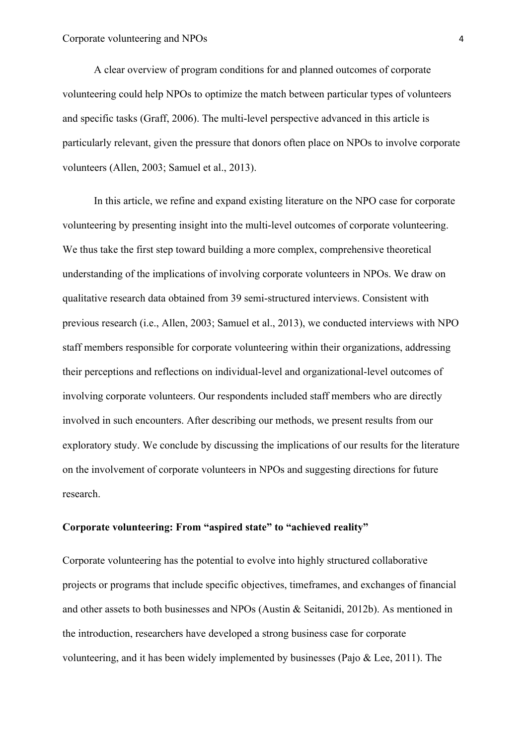A clear overview of program conditions for and planned outcomes of corporate volunteering could help NPOs to optimize the match between particular types of volunteers and specific tasks (Graff, 2006). The multi-level perspective advanced in this article is particularly relevant, given the pressure that donors often place on NPOs to involve corporate volunteers (Allen, 2003; Samuel et al., 2013).

In this article, we refine and expand existing literature on the NPO case for corporate volunteering by presenting insight into the multi-level outcomes of corporate volunteering. We thus take the first step toward building a more complex, comprehensive theoretical understanding of the implications of involving corporate volunteers in NPOs. We draw on qualitative research data obtained from 39 semi-structured interviews. Consistent with previous research (i.e., Allen, 2003; Samuel et al., 2013), we conducted interviews with NPO staff members responsible for corporate volunteering within their organizations, addressing their perceptions and reflections on individual-level and organizational-level outcomes of involving corporate volunteers. Our respondents included staff members who are directly involved in such encounters. After describing our methods, we present results from our exploratory study. We conclude by discussing the implications of our results for the literature on the involvement of corporate volunteers in NPOs and suggesting directions for future research.

#### **Corporate volunteering: From "aspired state" to "achieved reality"**

Corporate volunteering has the potential to evolve into highly structured collaborative projects or programs that include specific objectives, timeframes, and exchanges of financial and other assets to both businesses and NPOs (Austin & Seitanidi, 2012b). As mentioned in the introduction, researchers have developed a strong business case for corporate volunteering, and it has been widely implemented by businesses (Pajo & Lee, 2011). The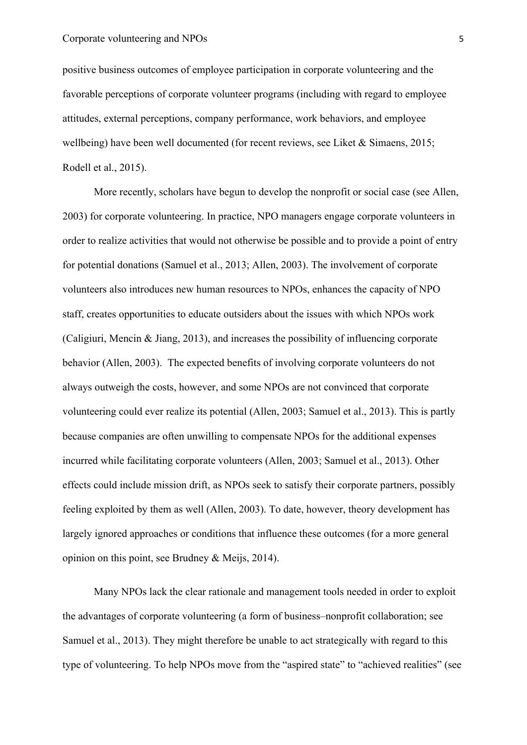positive business outcomes of employee participation in corporate volunteering and the favorable perceptions of corporate volunteer programs (including with regard to employee attitudes, external perceptions, company performance, work behaviors, and employee wellbeing) have been well documented (for recent reviews, see Liket & Simaens, 2015; Rodell et al., 2015).

More recently, scholars have begun to develop the nonprofit or social case (see Allen, 2003) for corporate volunteering. In practice, NPO managers engage corporate volunteers in order to realize activities that would not otherwise be possible and to provide a point of entry for potential donations (Samuel et al., 2013; Allen, 2003). The involvement of corporate volunteers also introduces new human resources to NPOs, enhances the capacity of NPO staff, creates opportunities to educate outsiders about the issues with which NPOs work (Caligiuri, Mencin & Jiang, 2013), and increases the possibility of influencing corporate behavior (Allen, 2003). The expected benefits of involving corporate volunteers do not always outweigh the costs, however, and some NPOs are not convinced that corporate volunteering could ever realize its potential (Allen, 2003; Samuel et al., 2013). This is partly because companies are often unwilling to compensate NPOs for the additional expenses incurred while facilitating corporate volunteers (Allen, 2003; Samuel et al., 2013). Other effects could include mission drift, as NPOs seek to satisfy their corporate partners, possibly feeling exploited by them as well (Allen, 2003). To date, however, theory development has largely ignored approaches or conditions that influence these outcomes (for a more general opinion on this point, see Brudney & Meijs, 2014).

Many NPOs lack the clear rationale and management tools needed in order to exploit the advantages of corporate volunteering (a form of business–nonprofit collaboration; see Samuel et al., 2013). They might therefore be unable to act strategically with regard to this type of volunteering. To help NPOs move from the "aspired state" to "achieved realities" (see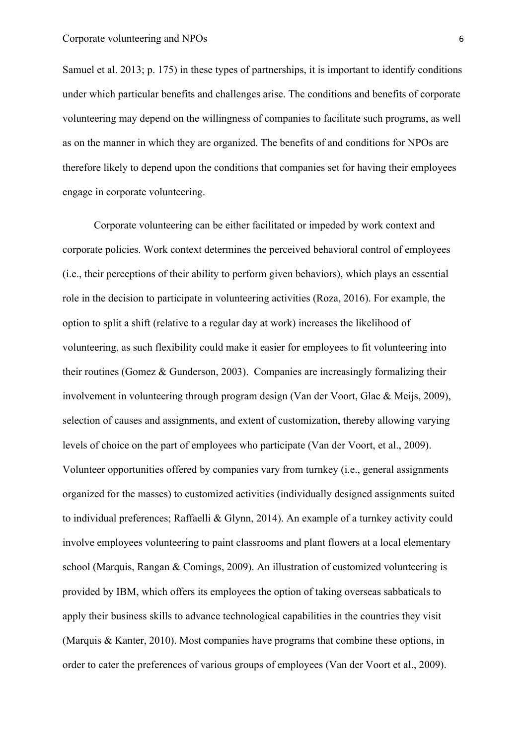Samuel et al. 2013; p. 175) in these types of partnerships, it is important to identify conditions under which particular benefits and challenges arise. The conditions and benefits of corporate volunteering may depend on the willingness of companies to facilitate such programs, as well as on the manner in which they are organized. The benefits of and conditions for NPOs are therefore likely to depend upon the conditions that companies set for having their employees engage in corporate volunteering.

Corporate volunteering can be either facilitated or impeded by work context and corporate policies. Work context determines the perceived behavioral control of employees (i.e., their perceptions of their ability to perform given behaviors), which plays an essential role in the decision to participate in volunteering activities (Roza, 2016). For example, the option to split a shift (relative to a regular day at work) increases the likelihood of volunteering, as such flexibility could make it easier for employees to fit volunteering into their routines (Gomez & Gunderson, 2003). Companies are increasingly formalizing their involvement in volunteering through program design (Van der Voort, Glac & Meijs, 2009), selection of causes and assignments, and extent of customization, thereby allowing varying levels of choice on the part of employees who participate (Van der Voort, et al., 2009). Volunteer opportunities offered by companies vary from turnkey (i.e., general assignments organized for the masses) to customized activities (individually designed assignments suited to individual preferences; Raffaelli & Glynn, 2014). An example of a turnkey activity could involve employees volunteering to paint classrooms and plant flowers at a local elementary school (Marquis, Rangan & Comings, 2009). An illustration of customized volunteering is provided by IBM, which offers its employees the option of taking overseas sabbaticals to apply their business skills to advance technological capabilities in the countries they visit (Marquis & Kanter, 2010). Most companies have programs that combine these options, in order to cater the preferences of various groups of employees (Van der Voort et al., 2009).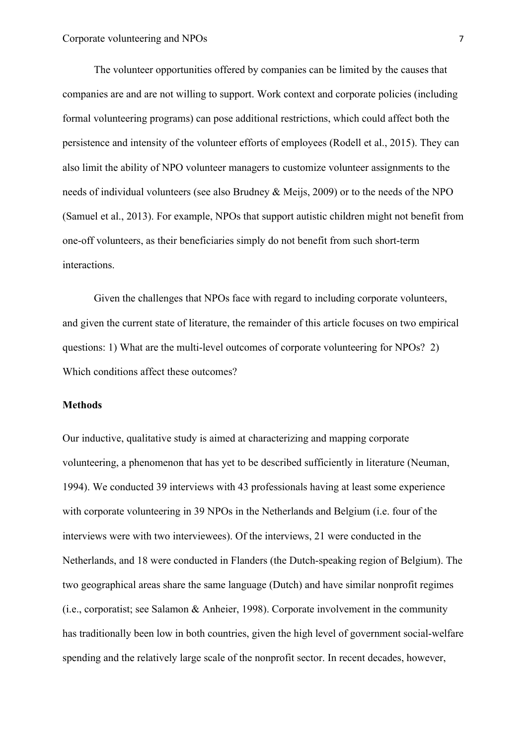The volunteer opportunities offered by companies can be limited by the causes that companies are and are not willing to support. Work context and corporate policies (including formal volunteering programs) can pose additional restrictions, which could affect both the persistence and intensity of the volunteer efforts of employees (Rodell et al., 2015). They can also limit the ability of NPO volunteer managers to customize volunteer assignments to the needs of individual volunteers (see also Brudney & Meijs, 2009) or to the needs of the NPO (Samuel et al., 2013). For example, NPOs that support autistic children might not benefit from one-off volunteers, as their beneficiaries simply do not benefit from such short-term interactions.

Given the challenges that NPOs face with regard to including corporate volunteers, and given the current state of literature, the remainder of this article focuses on two empirical questions: 1) What are the multi-level outcomes of corporate volunteering for NPOs? 2) Which conditions affect these outcomes?

## **Methods**

Our inductive, qualitative study is aimed at characterizing and mapping corporate volunteering, a phenomenon that has yet to be described sufficiently in literature (Neuman, 1994). We conducted 39 interviews with 43 professionals having at least some experience with corporate volunteering in 39 NPOs in the Netherlands and Belgium (*i.e. four of the* interviews were with two interviewees). Of the interviews, 21 were conducted in the Netherlands, and 18 were conducted in Flanders (the Dutch-speaking region of Belgium). The two geographical areas share the same language (Dutch) and have similar nonprofit regimes (i.e., corporatist; see Salamon & Anheier, 1998). Corporate involvement in the community has traditionally been low in both countries, given the high level of government social-welfare spending and the relatively large scale of the nonprofit sector. In recent decades, however,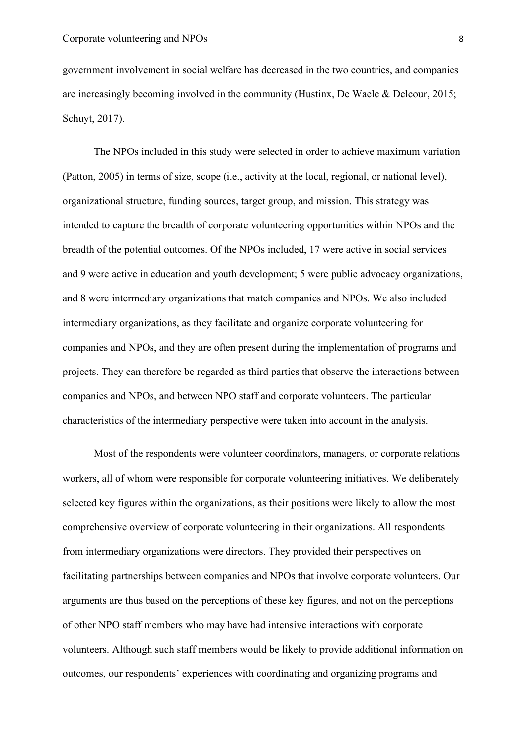government involvement in social welfare has decreased in the two countries, and companies are increasingly becoming involved in the community (Hustinx, De Waele & Delcour, 2015; Schuyt, 2017).

The NPOs included in this study were selected in order to achieve maximum variation (Patton, 2005) in terms of size, scope (i.e., activity at the local, regional, or national level), organizational structure, funding sources, target group, and mission. This strategy was intended to capture the breadth of corporate volunteering opportunities within NPOs and the breadth of the potential outcomes. Of the NPOs included, 17 were active in social services and 9 were active in education and youth development; 5 were public advocacy organizations, and 8 were intermediary organizations that match companies and NPOs. We also included intermediary organizations, as they facilitate and organize corporate volunteering for companies and NPOs, and they are often present during the implementation of programs and projects. They can therefore be regarded as third parties that observe the interactions between companies and NPOs, and between NPO staff and corporate volunteers. The particular characteristics of the intermediary perspective were taken into account in the analysis.

Most of the respondents were volunteer coordinators, managers, or corporate relations workers, all of whom were responsible for corporate volunteering initiatives. We deliberately selected key figures within the organizations, as their positions were likely to allow the most comprehensive overview of corporate volunteering in their organizations. All respondents from intermediary organizations were directors. They provided their perspectives on facilitating partnerships between companies and NPOs that involve corporate volunteers. Our arguments are thus based on the perceptions of these key figures, and not on the perceptions of other NPO staff members who may have had intensive interactions with corporate volunteers. Although such staff members would be likely to provide additional information on outcomes, our respondents' experiences with coordinating and organizing programs and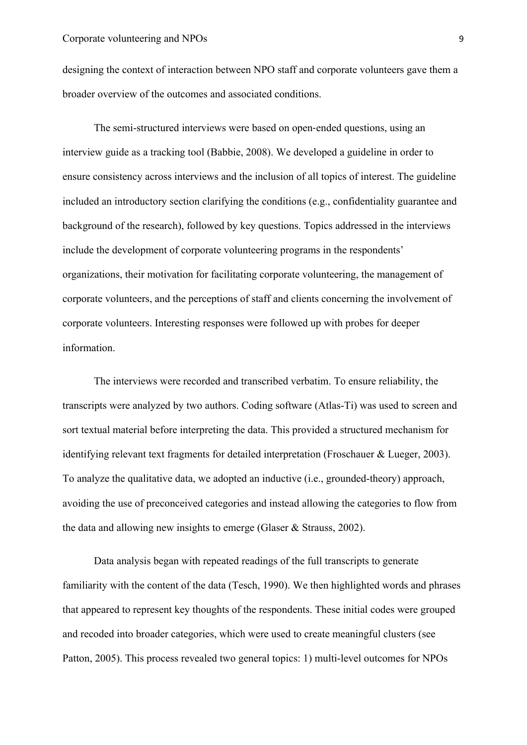designing the context of interaction between NPO staff and corporate volunteers gave them a broader overview of the outcomes and associated conditions.

The semi-structured interviews were based on open-ended questions, using an interview guide as a tracking tool (Babbie, 2008). We developed a guideline in order to ensure consistency across interviews and the inclusion of all topics of interest. The guideline included an introductory section clarifying the conditions (e.g., confidentiality guarantee and background of the research), followed by key questions. Topics addressed in the interviews include the development of corporate volunteering programs in the respondents' organizations, their motivation for facilitating corporate volunteering, the management of corporate volunteers, and the perceptions of staff and clients concerning the involvement of corporate volunteers. Interesting responses were followed up with probes for deeper information.

The interviews were recorded and transcribed verbatim. To ensure reliability, the transcripts were analyzed by two authors. Coding software (Atlas-Ti) was used to screen and sort textual material before interpreting the data. This provided a structured mechanism for identifying relevant text fragments for detailed interpretation (Froschauer & Lueger, 2003). To analyze the qualitative data, we adopted an inductive (i.e., grounded-theory) approach, avoiding the use of preconceived categories and instead allowing the categories to flow from the data and allowing new insights to emerge (Glaser & Strauss, 2002).

Data analysis began with repeated readings of the full transcripts to generate familiarity with the content of the data (Tesch, 1990). We then highlighted words and phrases that appeared to represent key thoughts of the respondents. These initial codes were grouped and recoded into broader categories, which were used to create meaningful clusters (see Patton, 2005). This process revealed two general topics: 1) multi-level outcomes for NPOs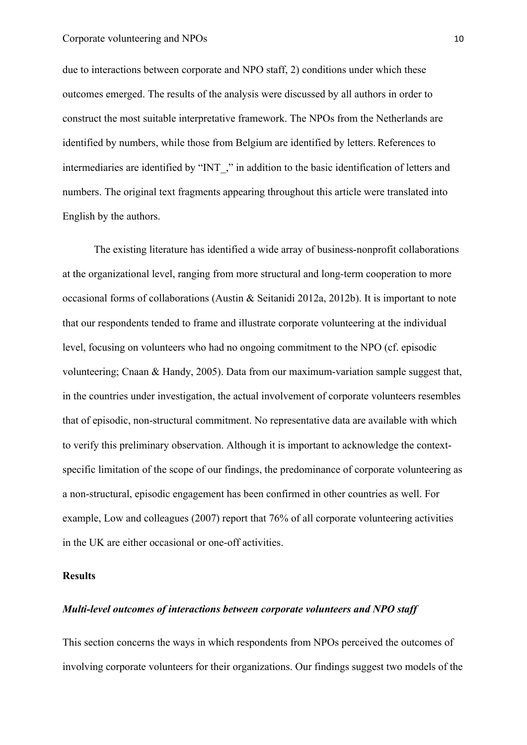due to interactions between corporate and NPO staff, 2) conditions under which these outcomes emerged. The results of the analysis were discussed by all authors in order to construct the most suitable interpretative framework. The NPOs from the Netherlands are identified by numbers, while those from Belgium are identified by letters. References to intermediaries are identified by "INT," in addition to the basic identification of letters and numbers. The original text fragments appearing throughout this article were translated into English by the authors.

The existing literature has identified a wide array of business-nonprofit collaborations at the organizational level, ranging from more structural and long-term cooperation to more occasional forms of collaborations (Austin & Seitanidi 2012a, 2012b). It is important to note that our respondents tended to frame and illustrate corporate volunteering at the individual level, focusing on volunteers who had no ongoing commitment to the NPO (cf. episodic volunteering; Cnaan & Handy, 2005). Data from our maximum-variation sample suggest that, in the countries under investigation, the actual involvement of corporate volunteers resembles that of episodic, non-structural commitment. No representative data are available with which to verify this preliminary observation. Although it is important to acknowledge the contextspecific limitation of the scope of our findings, the predominance of corporate volunteering as a non-structural, episodic engagement has been confirmed in other countries as well. For example, Low and colleagues (2007) report that 76% of all corporate volunteering activities in the UK are either occasional or one-off activities.

## **Results**

## *Multi-level outcomes of interactions between corporate volunteers and NPO staff*

This section concerns the ways in which respondents from NPOs perceived the outcomes of involving corporate volunteers for their organizations. Our findings suggest two models of the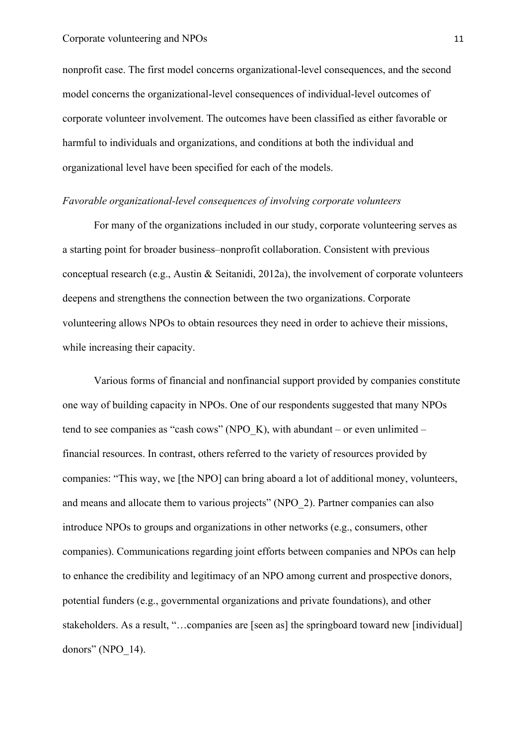nonprofit case. The first model concerns organizational-level consequences, and the second model concerns the organizational-level consequences of individual-level outcomes of corporate volunteer involvement. The outcomes have been classified as either favorable or harmful to individuals and organizations, and conditions at both the individual and organizational level have been specified for each of the models.

#### *Favorable organizational-level consequences of involving corporate volunteers*

For many of the organizations included in our study, corporate volunteering serves as a starting point for broader business–nonprofit collaboration. Consistent with previous conceptual research (e.g., Austin & Seitanidi, 2012a), the involvement of corporate volunteers deepens and strengthens the connection between the two organizations. Corporate volunteering allows NPOs to obtain resources they need in order to achieve their missions, while increasing their capacity.

Various forms of financial and nonfinancial support provided by companies constitute one way of building capacity in NPOs. One of our respondents suggested that many NPOs tend to see companies as "cash cows" (NPO\_K), with abundant – or even unlimited – financial resources. In contrast, others referred to the variety of resources provided by companies: "This way, we [the NPO] can bring aboard a lot of additional money, volunteers, and means and allocate them to various projects" (NPO\_2). Partner companies can also introduce NPOs to groups and organizations in other networks (e.g., consumers, other companies). Communications regarding joint efforts between companies and NPOs can help to enhance the credibility and legitimacy of an NPO among current and prospective donors, potential funders (e.g., governmental organizations and private foundations), and other stakeholders. As a result, "...companies are [seen as] the springboard toward new [individual] donors" (NPO 14).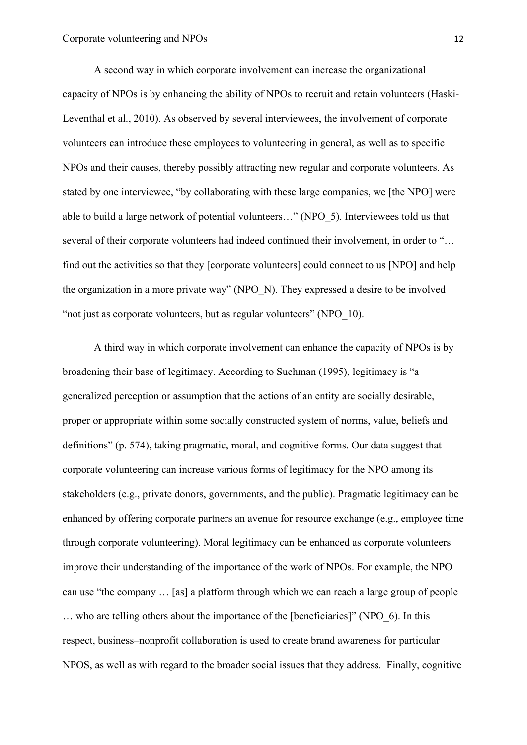A second way in which corporate involvement can increase the organizational capacity of NPOs is by enhancing the ability of NPOs to recruit and retain volunteers (Haski-Leventhal et al., 2010). As observed by several interviewees, the involvement of corporate volunteers can introduce these employees to volunteering in general, as well as to specific NPOs and their causes, thereby possibly attracting new regular and corporate volunteers. As stated by one interviewee, "by collaborating with these large companies, we [the NPO] were able to build a large network of potential volunteers…" (NPO\_5). Interviewees told us that several of their corporate volunteers had indeed continued their involvement, in order to "... find out the activities so that they [corporate volunteers] could connect to us [NPO] and help the organization in a more private way" (NPO\_N). They expressed a desire to be involved "not just as corporate volunteers, but as regular volunteers" (NPO\_10).

A third way in which corporate involvement can enhance the capacity of NPOs is by broadening their base of legitimacy. According to Suchman (1995), legitimacy is "a generalized perception or assumption that the actions of an entity are socially desirable, proper or appropriate within some socially constructed system of norms, value, beliefs and definitions" (p. 574), taking pragmatic, moral, and cognitive forms. Our data suggest that corporate volunteering can increase various forms of legitimacy for the NPO among its stakeholders (e.g., private donors, governments, and the public). Pragmatic legitimacy can be enhanced by offering corporate partners an avenue for resource exchange (e.g., employee time through corporate volunteering). Moral legitimacy can be enhanced as corporate volunteers improve their understanding of the importance of the work of NPOs. For example, the NPO can use "the company … [as] a platform through which we can reach a large group of people … who are telling others about the importance of the [beneficiaries]" (NPO\_6). In this respect, business–nonprofit collaboration is used to create brand awareness for particular NPOS, as well as with regard to the broader social issues that they address. Finally, cognitive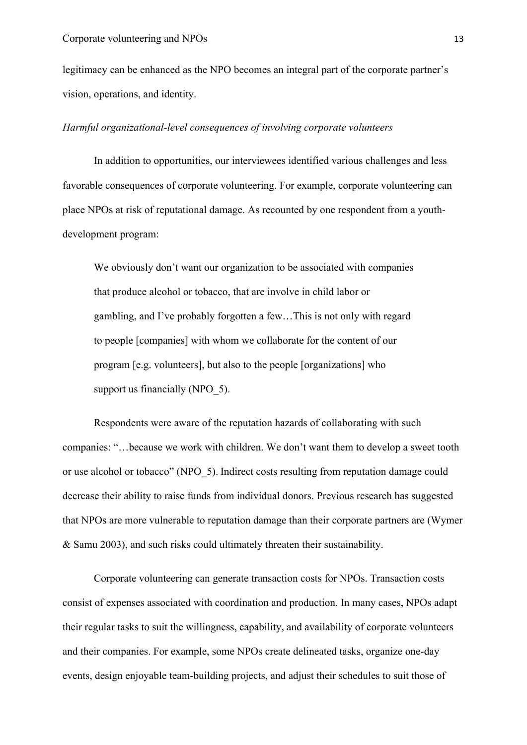legitimacy can be enhanced as the NPO becomes an integral part of the corporate partner's vision, operations, and identity.

#### *Harmful organizational-level consequences of involving corporate volunteers*

In addition to opportunities, our interviewees identified various challenges and less favorable consequences of corporate volunteering. For example, corporate volunteering can place NPOs at risk of reputational damage. As recounted by one respondent from a youthdevelopment program:

We obviously don't want our organization to be associated with companies that produce alcohol or tobacco, that are involve in child labor or gambling, and I've probably forgotten a few…This is not only with regard to people [companies] with whom we collaborate for the content of our program [e.g. volunteers], but also to the people [organizations] who support us financially (NPO 5).

Respondents were aware of the reputation hazards of collaborating with such companies: "…because we work with children. We don't want them to develop a sweet tooth or use alcohol or tobacco" (NPO\_5). Indirect costs resulting from reputation damage could decrease their ability to raise funds from individual donors. Previous research has suggested that NPOs are more vulnerable to reputation damage than their corporate partners are (Wymer & Samu 2003), and such risks could ultimately threaten their sustainability.

Corporate volunteering can generate transaction costs for NPOs. Transaction costs consist of expenses associated with coordination and production. In many cases, NPOs adapt their regular tasks to suit the willingness, capability, and availability of corporate volunteers and their companies. For example, some NPOs create delineated tasks, organize one-day events, design enjoyable team-building projects, and adjust their schedules to suit those of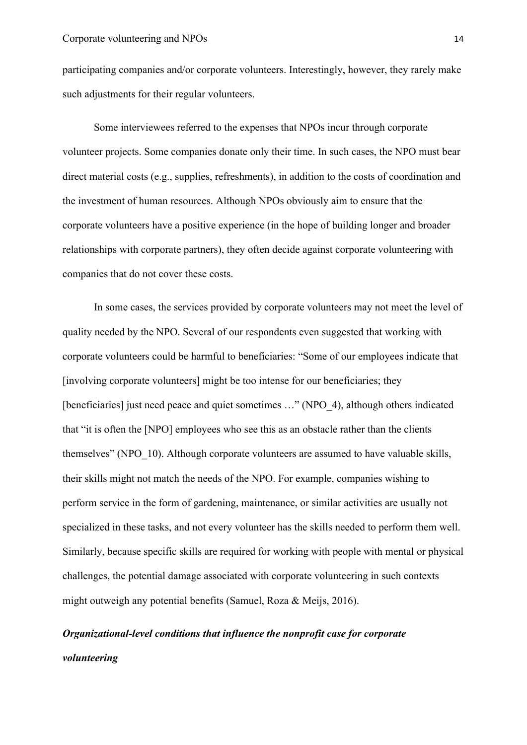participating companies and/or corporate volunteers. Interestingly, however, they rarely make such adjustments for their regular volunteers.

Some interviewees referred to the expenses that NPOs incur through corporate volunteer projects. Some companies donate only their time. In such cases, the NPO must bear direct material costs (e.g., supplies, refreshments), in addition to the costs of coordination and the investment of human resources. Although NPOs obviously aim to ensure that the corporate volunteers have a positive experience (in the hope of building longer and broader relationships with corporate partners), they often decide against corporate volunteering with companies that do not cover these costs.

In some cases, the services provided by corporate volunteers may not meet the level of quality needed by the NPO. Several of our respondents even suggested that working with corporate volunteers could be harmful to beneficiaries: "Some of our employees indicate that [involving corporate volunteers] might be too intense for our beneficiaries; they [beneficiaries] just need peace and quiet sometimes …" (NPO\_4), although others indicated that "it is often the [NPO] employees who see this as an obstacle rather than the clients themselves" (NPO 10). Although corporate volunteers are assumed to have valuable skills, their skills might not match the needs of the NPO. For example, companies wishing to perform service in the form of gardening, maintenance, or similar activities are usually not specialized in these tasks, and not every volunteer has the skills needed to perform them well. Similarly, because specific skills are required for working with people with mental or physical challenges, the potential damage associated with corporate volunteering in such contexts might outweigh any potential benefits (Samuel, Roza & Meijs, 2016).

# *Organizational-level conditions that influence the nonprofit case for corporate volunteering*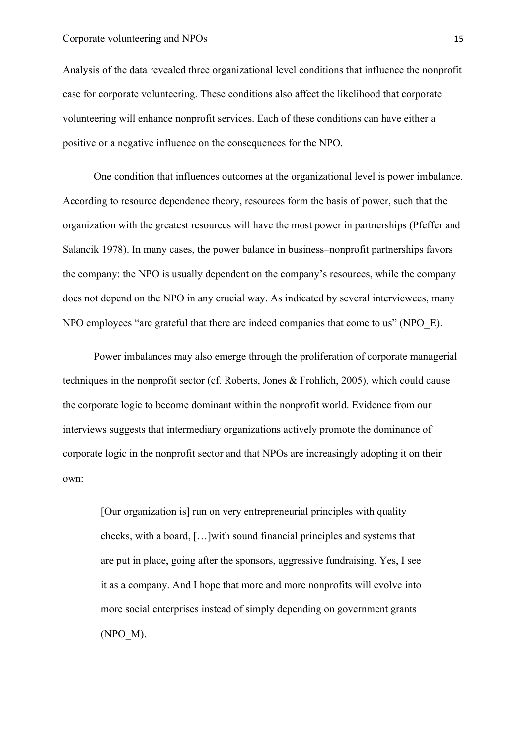#### Corporate volunteering and NPOs 15

Analysis of the data revealed three organizational level conditions that influence the nonprofit case for corporate volunteering. These conditions also affect the likelihood that corporate volunteering will enhance nonprofit services. Each of these conditions can have either a positive or a negative influence on the consequences for the NPO.

One condition that influences outcomes at the organizational level is power imbalance. According to resource dependence theory, resources form the basis of power, such that the organization with the greatest resources will have the most power in partnerships (Pfeffer and Salancik 1978). In many cases, the power balance in business–nonprofit partnerships favors the company: the NPO is usually dependent on the company's resources, while the company does not depend on the NPO in any crucial way. As indicated by several interviewees, many NPO employees "are grateful that there are indeed companies that come to us" (NPO\_E).

Power imbalances may also emerge through the proliferation of corporate managerial techniques in the nonprofit sector (cf. Roberts, Jones & Frohlich, 2005), which could cause the corporate logic to become dominant within the nonprofit world. Evidence from our interviews suggests that intermediary organizations actively promote the dominance of corporate logic in the nonprofit sector and that NPOs are increasingly adopting it on their own:

[Our organization is] run on very entrepreneurial principles with quality checks, with a board, […]with sound financial principles and systems that are put in place, going after the sponsors, aggressive fundraising. Yes, I see it as a company. And I hope that more and more nonprofits will evolve into more social enterprises instead of simply depending on government grants (NPO\_M).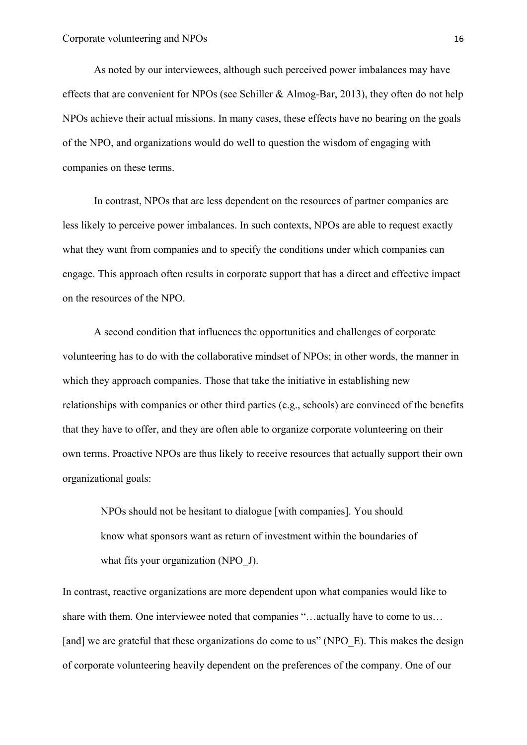As noted by our interviewees, although such perceived power imbalances may have effects that are convenient for NPOs (see Schiller  $\&$  Almog-Bar, 2013), they often do not help NPOs achieve their actual missions. In many cases, these effects have no bearing on the goals of the NPO, and organizations would do well to question the wisdom of engaging with companies on these terms.

In contrast, NPOs that are less dependent on the resources of partner companies are less likely to perceive power imbalances. In such contexts, NPOs are able to request exactly what they want from companies and to specify the conditions under which companies can engage. This approach often results in corporate support that has a direct and effective impact on the resources of the NPO.

A second condition that influences the opportunities and challenges of corporate volunteering has to do with the collaborative mindset of NPOs; in other words, the manner in which they approach companies. Those that take the initiative in establishing new relationships with companies or other third parties (e.g., schools) are convinced of the benefits that they have to offer, and they are often able to organize corporate volunteering on their own terms. Proactive NPOs are thus likely to receive resources that actually support their own organizational goals:

NPOs should not be hesitant to dialogue [with companies]. You should know what sponsors want as return of investment within the boundaries of what fits your organization (NPO J).

In contrast, reactive organizations are more dependent upon what companies would like to share with them. One interviewee noted that companies "…actually have to come to us… [and] we are grateful that these organizations do come to us" (NPO\_E). This makes the design of corporate volunteering heavily dependent on the preferences of the company. One of our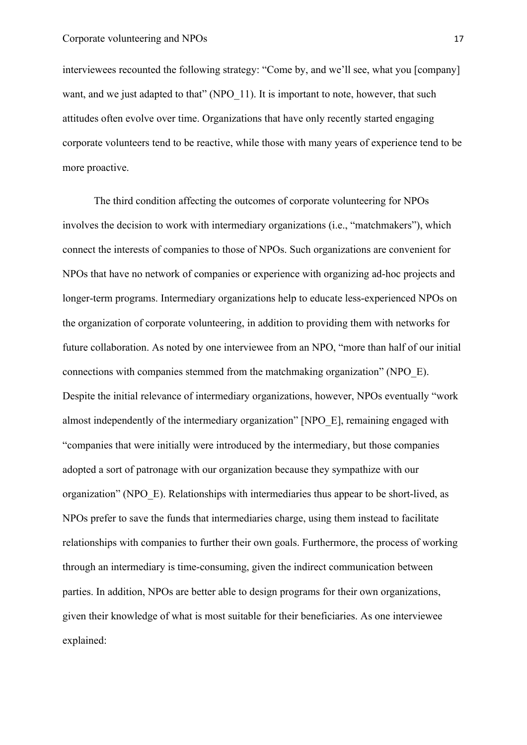interviewees recounted the following strategy: "Come by, and we'll see, what you [company] want, and we just adapted to that" (NPO 11). It is important to note, however, that such attitudes often evolve over time. Organizations that have only recently started engaging corporate volunteers tend to be reactive, while those with many years of experience tend to be more proactive.

The third condition affecting the outcomes of corporate volunteering for NPOs involves the decision to work with intermediary organizations (i.e., "matchmakers"), which connect the interests of companies to those of NPOs. Such organizations are convenient for NPOs that have no network of companies or experience with organizing ad-hoc projects and longer-term programs. Intermediary organizations help to educate less-experienced NPOs on the organization of corporate volunteering, in addition to providing them with networks for future collaboration. As noted by one interviewee from an NPO, "more than half of our initial connections with companies stemmed from the matchmaking organization" (NPO\_E). Despite the initial relevance of intermediary organizations, however, NPOs eventually "work almost independently of the intermediary organization" [NPO\_E], remaining engaged with "companies that were initially were introduced by the intermediary, but those companies adopted a sort of patronage with our organization because they sympathize with our organization" (NPO\_E). Relationships with intermediaries thus appear to be short-lived, as NPOs prefer to save the funds that intermediaries charge, using them instead to facilitate relationships with companies to further their own goals. Furthermore, the process of working through an intermediary is time-consuming, given the indirect communication between parties. In addition, NPOs are better able to design programs for their own organizations, given their knowledge of what is most suitable for their beneficiaries. As one interviewee explained: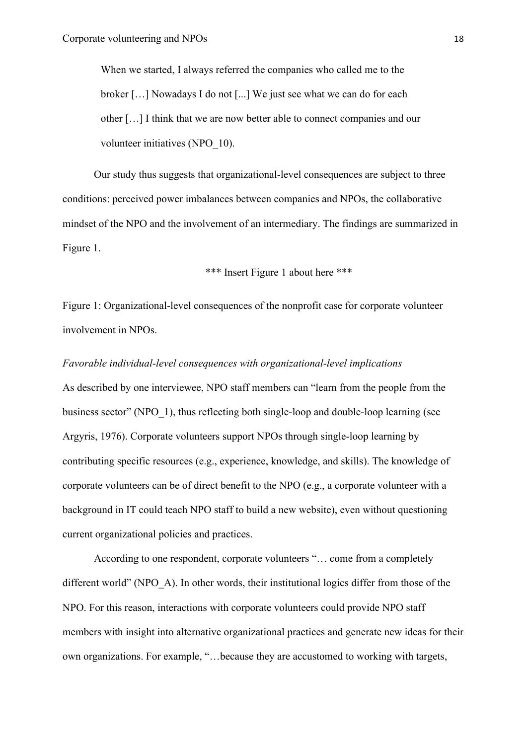When we started, I always referred the companies who called me to the broker […] Nowadays I do not [...] We just see what we can do for each other […] I think that we are now better able to connect companies and our volunteer initiatives (NPO\_10).

Our study thus suggests that organizational-level consequences are subject to three conditions: perceived power imbalances between companies and NPOs, the collaborative mindset of the NPO and the involvement of an intermediary. The findings are summarized in Figure 1.

\*\*\* Insert Figure 1 about here \*\*\*

Figure 1: Organizational-level consequences of the nonprofit case for corporate volunteer involvement in NPOs.

#### *Favorable individual-level consequences with organizational-level implications*

As described by one interviewee, NPO staff members can "learn from the people from the business sector" (NPO\_1), thus reflecting both single-loop and double-loop learning (see Argyris, 1976). Corporate volunteers support NPOs through single-loop learning by contributing specific resources (e.g., experience, knowledge, and skills). The knowledge of corporate volunteers can be of direct benefit to the NPO (e.g., a corporate volunteer with a background in IT could teach NPO staff to build a new website), even without questioning current organizational policies and practices.

According to one respondent, corporate volunteers "… come from a completely different world" (NPO\_A). In other words, their institutional logics differ from those of the NPO. For this reason, interactions with corporate volunteers could provide NPO staff members with insight into alternative organizational practices and generate new ideas for their own organizations. For example, "…because they are accustomed to working with targets,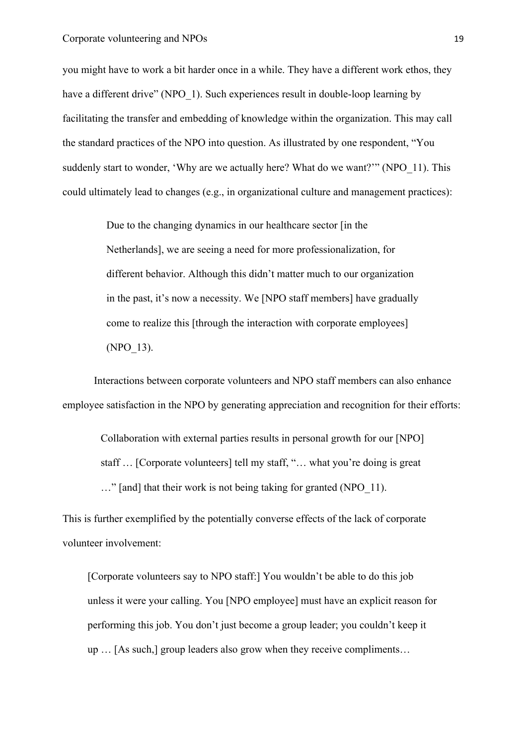you might have to work a bit harder once in a while. They have a different work ethos, they have a different drive" (NPO 1). Such experiences result in double-loop learning by facilitating the transfer and embedding of knowledge within the organization. This may call the standard practices of the NPO into question. As illustrated by one respondent, "You suddenly start to wonder, 'Why are we actually here? What do we want?'" (NPO 11). This could ultimately lead to changes (e.g., in organizational culture and management practices):

> Due to the changing dynamics in our healthcare sector [in the Netherlands], we are seeing a need for more professionalization, for different behavior. Although this didn't matter much to our organization in the past, it's now a necessity. We [NPO staff members] have gradually come to realize this [through the interaction with corporate employees] (NPO\_13).

Interactions between corporate volunteers and NPO staff members can also enhance employee satisfaction in the NPO by generating appreciation and recognition for their efforts:

Collaboration with external parties results in personal growth for our [NPO] staff … [Corporate volunteers] tell my staff, "… what you're doing is great ..." [and] that their work is not being taking for granted (NPO 11).

This is further exemplified by the potentially converse effects of the lack of corporate volunteer involvement:

[Corporate volunteers say to NPO staff:] You wouldn't be able to do this job unless it were your calling. You [NPO employee] must have an explicit reason for performing this job. You don't just become a group leader; you couldn't keep it up … [As such,] group leaders also grow when they receive compliments…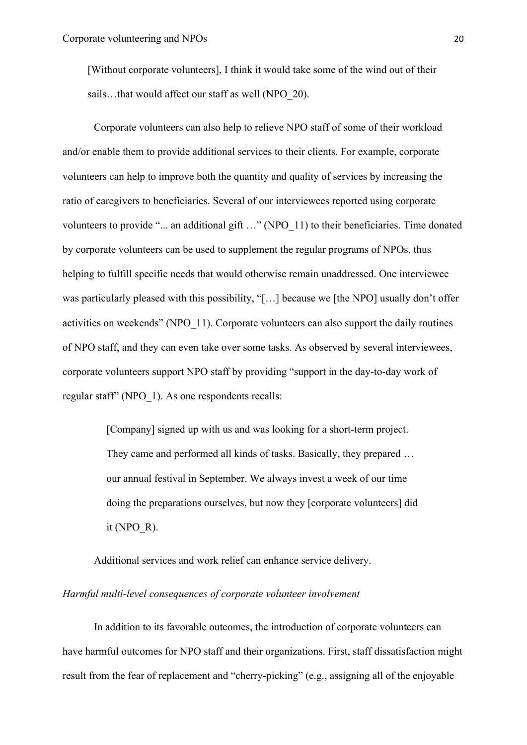[Without corporate volunteers], I think it would take some of the wind out of their sails...that would affect our staff as well (NPO 20).

Corporate volunteers can also help to relieve NPO staff of some of their workload and/or enable them to provide additional services to their clients. For example, corporate volunteers can help to improve both the quantity and quality of services by increasing the ratio of caregivers to beneficiaries. Several of our interviewees reported using corporate volunteers to provide "... an additional gift ..." (NPO 11) to their beneficiaries. Time donated by corporate volunteers can be used to supplement the regular programs of NPOs, thus helping to fulfill specific needs that would otherwise remain unaddressed. One interviewee was particularly pleased with this possibility, "[...] because we [the NPO] usually don't offer activities on weekends" (NPO\_11). Corporate volunteers can also support the daily routines of NPO staff, and they can even take over some tasks. As observed by several interviewees, corporate volunteers support NPO staff by providing "support in the day-to-day work of regular staff" (NPO 1). As one respondents recalls:

> [Company] signed up with us and was looking for a short-term project. They came and performed all kinds of tasks. Basically, they prepared … our annual festival in September. We always invest a week of our time doing the preparations ourselves, but now they [corporate volunteers] did it (NPO  $R$ ).

Additional services and work relief can enhance service delivery.

## *Harmful multi-level consequences of corporate volunteer involvement*

In addition to its favorable outcomes, the introduction of corporate volunteers can have harmful outcomes for NPO staff and their organizations. First, staff dissatisfaction might result from the fear of replacement and "cherry-picking" (e.g., assigning all of the enjoyable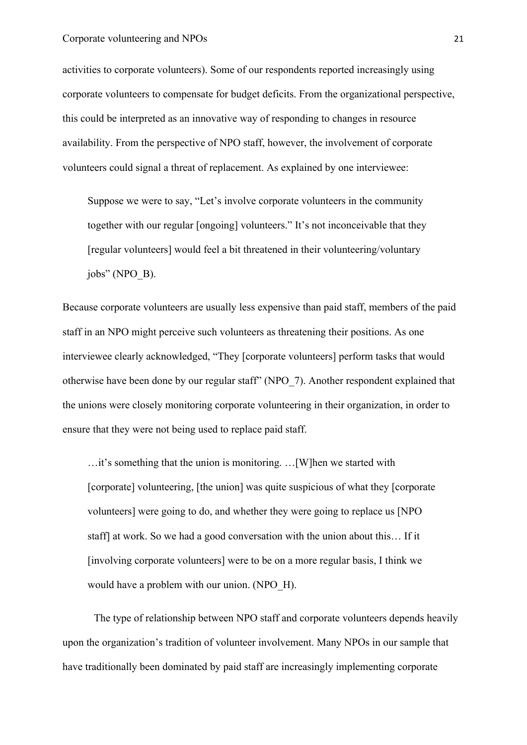activities to corporate volunteers). Some of our respondents reported increasingly using corporate volunteers to compensate for budget deficits. From the organizational perspective, this could be interpreted as an innovative way of responding to changes in resource availability. From the perspective of NPO staff, however, the involvement of corporate volunteers could signal a threat of replacement. As explained by one interviewee:

Suppose we were to say, "Let's involve corporate volunteers in the community together with our regular [ongoing] volunteers." It's not inconceivable that they [regular volunteers] would feel a bit threatened in their volunteering/voluntary jobs" (NPO\_B).

Because corporate volunteers are usually less expensive than paid staff, members of the paid staff in an NPO might perceive such volunteers as threatening their positions. As one interviewee clearly acknowledged, "They [corporate volunteers] perform tasks that would otherwise have been done by our regular staff" (NPO\_7). Another respondent explained that the unions were closely monitoring corporate volunteering in their organization, in order to ensure that they were not being used to replace paid staff.

…it's something that the union is monitoring. …[W]hen we started with [corporate] volunteering, [the union] was quite suspicious of what they [corporate volunteers] were going to do, and whether they were going to replace us [NPO staff] at work. So we had a good conversation with the union about this… If it [involving corporate volunteers] were to be on a more regular basis, I think we would have a problem with our union. (NPO\_H).

The type of relationship between NPO staff and corporate volunteers depends heavily upon the organization's tradition of volunteer involvement. Many NPOs in our sample that have traditionally been dominated by paid staff are increasingly implementing corporate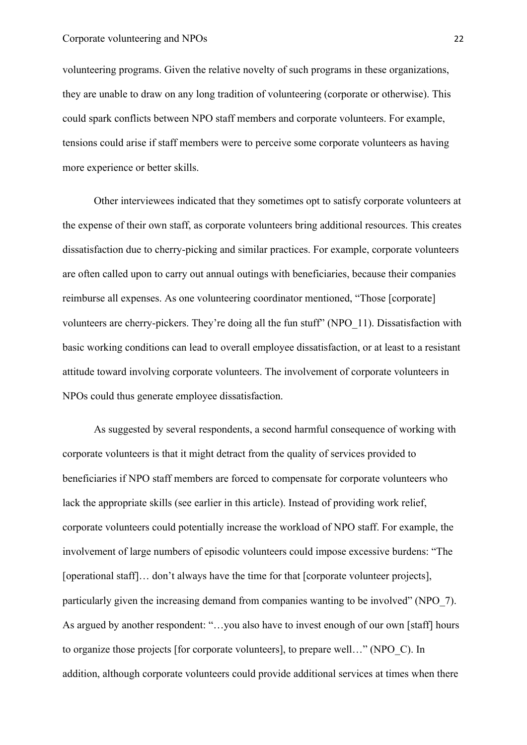volunteering programs. Given the relative novelty of such programs in these organizations, they are unable to draw on any long tradition of volunteering (corporate or otherwise). This could spark conflicts between NPO staff members and corporate volunteers. For example, tensions could arise if staff members were to perceive some corporate volunteers as having more experience or better skills.

Other interviewees indicated that they sometimes opt to satisfy corporate volunteers at the expense of their own staff, as corporate volunteers bring additional resources. This creates dissatisfaction due to cherry-picking and similar practices. For example, corporate volunteers are often called upon to carry out annual outings with beneficiaries, because their companies reimburse all expenses. As one volunteering coordinator mentioned, "Those [corporate] volunteers are cherry-pickers. They're doing all the fun stuff" (NPO\_11). Dissatisfaction with basic working conditions can lead to overall employee dissatisfaction, or at least to a resistant attitude toward involving corporate volunteers. The involvement of corporate volunteers in NPOs could thus generate employee dissatisfaction.

As suggested by several respondents, a second harmful consequence of working with corporate volunteers is that it might detract from the quality of services provided to beneficiaries if NPO staff members are forced to compensate for corporate volunteers who lack the appropriate skills (see earlier in this article). Instead of providing work relief, corporate volunteers could potentially increase the workload of NPO staff. For example, the involvement of large numbers of episodic volunteers could impose excessive burdens: "The [operational staff]… don't always have the time for that [corporate volunteer projects], particularly given the increasing demand from companies wanting to be involved" (NPO\_7). As argued by another respondent: "…you also have to invest enough of our own [staff] hours to organize those projects [for corporate volunteers], to prepare well…" (NPO\_C). In addition, although corporate volunteers could provide additional services at times when there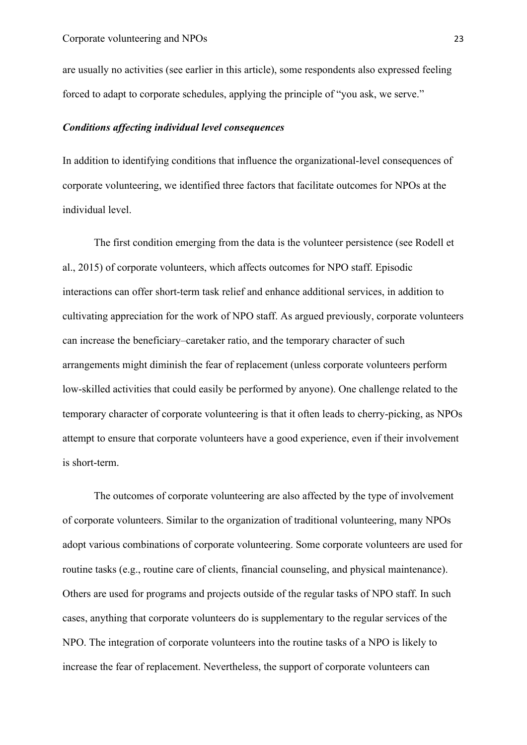are usually no activities (see earlier in this article), some respondents also expressed feeling forced to adapt to corporate schedules, applying the principle of "you ask, we serve."

## *Conditions affecting individual level consequences*

In addition to identifying conditions that influence the organizational-level consequences of corporate volunteering, we identified three factors that facilitate outcomes for NPOs at the individual level.

The first condition emerging from the data is the volunteer persistence (see Rodell et al., 2015) of corporate volunteers, which affects outcomes for NPO staff. Episodic interactions can offer short-term task relief and enhance additional services, in addition to cultivating appreciation for the work of NPO staff. As argued previously, corporate volunteers can increase the beneficiary–caretaker ratio, and the temporary character of such arrangements might diminish the fear of replacement (unless corporate volunteers perform low-skilled activities that could easily be performed by anyone). One challenge related to the temporary character of corporate volunteering is that it often leads to cherry-picking, as NPOs attempt to ensure that corporate volunteers have a good experience, even if their involvement is short-term.

The outcomes of corporate volunteering are also affected by the type of involvement of corporate volunteers. Similar to the organization of traditional volunteering, many NPOs adopt various combinations of corporate volunteering. Some corporate volunteers are used for routine tasks (e.g., routine care of clients, financial counseling, and physical maintenance). Others are used for programs and projects outside of the regular tasks of NPO staff. In such cases, anything that corporate volunteers do is supplementary to the regular services of the NPO. The integration of corporate volunteers into the routine tasks of a NPO is likely to increase the fear of replacement. Nevertheless, the support of corporate volunteers can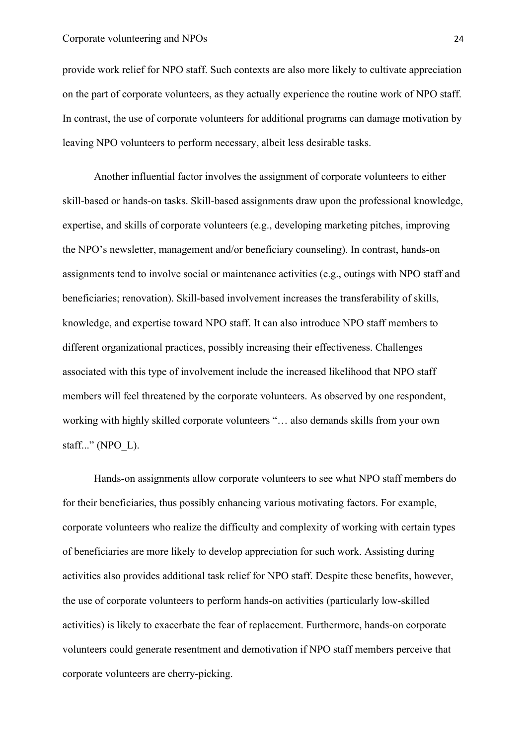#### Corporate volunteering and NPOs 24

provide work relief for NPO staff. Such contexts are also more likely to cultivate appreciation on the part of corporate volunteers, as they actually experience the routine work of NPO staff. In contrast, the use of corporate volunteers for additional programs can damage motivation by leaving NPO volunteers to perform necessary, albeit less desirable tasks.

Another influential factor involves the assignment of corporate volunteers to either skill-based or hands-on tasks. Skill-based assignments draw upon the professional knowledge, expertise, and skills of corporate volunteers (e.g., developing marketing pitches, improving the NPO's newsletter, management and/or beneficiary counseling). In contrast, hands-on assignments tend to involve social or maintenance activities (e.g., outings with NPO staff and beneficiaries; renovation). Skill-based involvement increases the transferability of skills, knowledge, and expertise toward NPO staff. It can also introduce NPO staff members to different organizational practices, possibly increasing their effectiveness. Challenges associated with this type of involvement include the increased likelihood that NPO staff members will feel threatened by the corporate volunteers. As observed by one respondent, working with highly skilled corporate volunteers "… also demands skills from your own staff..." (NPO  $L$ ).

Hands-on assignments allow corporate volunteers to see what NPO staff members do for their beneficiaries, thus possibly enhancing various motivating factors. For example, corporate volunteers who realize the difficulty and complexity of working with certain types of beneficiaries are more likely to develop appreciation for such work. Assisting during activities also provides additional task relief for NPO staff. Despite these benefits, however, the use of corporate volunteers to perform hands-on activities (particularly low-skilled activities) is likely to exacerbate the fear of replacement. Furthermore, hands-on corporate volunteers could generate resentment and demotivation if NPO staff members perceive that corporate volunteers are cherry-picking.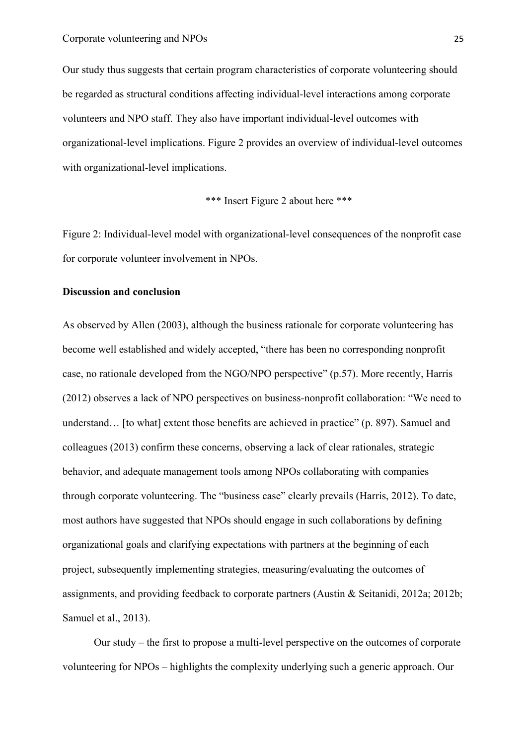Our study thus suggests that certain program characteristics of corporate volunteering should be regarded as structural conditions affecting individual-level interactions among corporate volunteers and NPO staff. They also have important individual-level outcomes with organizational-level implications. Figure 2 provides an overview of individual-level outcomes with organizational-level implications.

\*\*\* Insert Figure 2 about here \*\*\*

Figure 2: Individual-level model with organizational-level consequences of the nonprofit case for corporate volunteer involvement in NPOs.

## **Discussion and conclusion**

As observed by Allen (2003), although the business rationale for corporate volunteering has become well established and widely accepted, "there has been no corresponding nonprofit case, no rationale developed from the NGO/NPO perspective" (p.57). More recently, Harris (2012) observes a lack of NPO perspectives on business-nonprofit collaboration: "We need to understand... [to what] extent those benefits are achieved in practice" (p. 897). Samuel and colleagues (2013) confirm these concerns, observing a lack of clear rationales, strategic behavior, and adequate management tools among NPOs collaborating with companies through corporate volunteering. The "business case" clearly prevails (Harris, 2012). To date, most authors have suggested that NPOs should engage in such collaborations by defining organizational goals and clarifying expectations with partners at the beginning of each project, subsequently implementing strategies, measuring/evaluating the outcomes of assignments, and providing feedback to corporate partners (Austin & Seitanidi, 2012a; 2012b; Samuel et al., 2013).

Our study – the first to propose a multi-level perspective on the outcomes of corporate volunteering for NPOs – highlights the complexity underlying such a generic approach. Our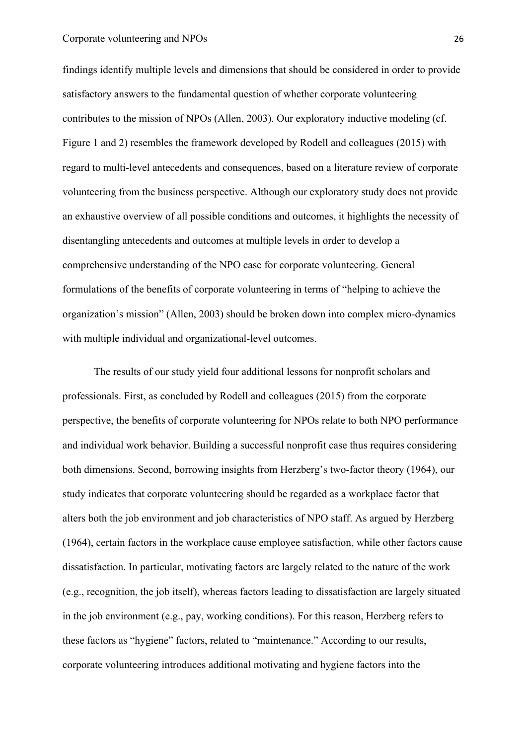findings identify multiple levels and dimensions that should be considered in order to provide satisfactory answers to the fundamental question of whether corporate volunteering contributes to the mission of NPOs (Allen, 2003). Our exploratory inductive modeling (cf. Figure 1 and 2) resembles the framework developed by Rodell and colleagues (2015) with regard to multi-level antecedents and consequences, based on a literature review of corporate volunteering from the business perspective. Although our exploratory study does not provide an exhaustive overview of all possible conditions and outcomes, it highlights the necessity of disentangling antecedents and outcomes at multiple levels in order to develop a comprehensive understanding of the NPO case for corporate volunteering. General formulations of the benefits of corporate volunteering in terms of "helping to achieve the organization's mission" (Allen, 2003) should be broken down into complex micro-dynamics with multiple individual and organizational-level outcomes.

The results of our study yield four additional lessons for nonprofit scholars and professionals. First, as concluded by Rodell and colleagues (2015) from the corporate perspective, the benefits of corporate volunteering for NPOs relate to both NPO performance and individual work behavior. Building a successful nonprofit case thus requires considering both dimensions. Second, borrowing insights from Herzberg's two-factor theory (1964), our study indicates that corporate volunteering should be regarded as a workplace factor that alters both the job environment and job characteristics of NPO staff. As argued by Herzberg (1964), certain factors in the workplace cause employee satisfaction, while other factors cause dissatisfaction. In particular, motivating factors are largely related to the nature of the work (e.g., recognition, the job itself), whereas factors leading to dissatisfaction are largely situated in the job environment (e.g., pay, working conditions). For this reason, Herzberg refers to these factors as "hygiene" factors, related to "maintenance." According to our results, corporate volunteering introduces additional motivating and hygiene factors into the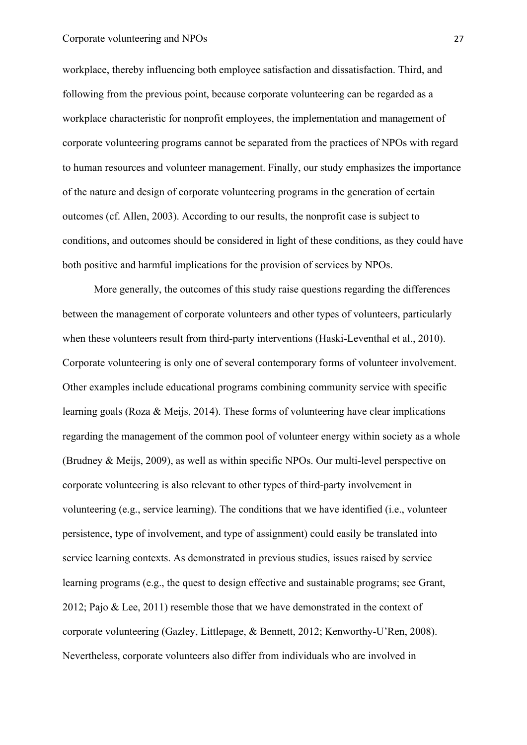#### Corporate volunteering and NPOs 27

workplace, thereby influencing both employee satisfaction and dissatisfaction. Third, and following from the previous point, because corporate volunteering can be regarded as a workplace characteristic for nonprofit employees, the implementation and management of corporate volunteering programs cannot be separated from the practices of NPOs with regard to human resources and volunteer management. Finally, our study emphasizes the importance of the nature and design of corporate volunteering programs in the generation of certain outcomes (cf. Allen, 2003). According to our results, the nonprofit case is subject to conditions, and outcomes should be considered in light of these conditions, as they could have both positive and harmful implications for the provision of services by NPOs.

More generally, the outcomes of this study raise questions regarding the differences between the management of corporate volunteers and other types of volunteers, particularly when these volunteers result from third-party interventions (Haski-Leventhal et al., 2010). Corporate volunteering is only one of several contemporary forms of volunteer involvement. Other examples include educational programs combining community service with specific learning goals (Roza & Meijs, 2014). These forms of volunteering have clear implications regarding the management of the common pool of volunteer energy within society as a whole (Brudney & Meijs, 2009), as well as within specific NPOs. Our multi-level perspective on corporate volunteering is also relevant to other types of third-party involvement in volunteering (e.g., service learning). The conditions that we have identified (i.e., volunteer persistence, type of involvement, and type of assignment) could easily be translated into service learning contexts. As demonstrated in previous studies, issues raised by service learning programs (e.g., the quest to design effective and sustainable programs; see Grant, 2012; Pajo & Lee, 2011) resemble those that we have demonstrated in the context of corporate volunteering (Gazley, Littlepage, & Bennett, 2012; Kenworthy-U'Ren, 2008). Nevertheless, corporate volunteers also differ from individuals who are involved in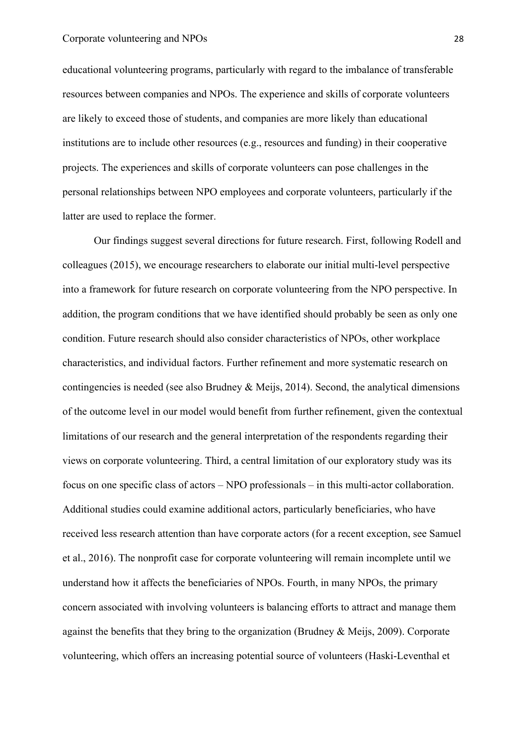educational volunteering programs, particularly with regard to the imbalance of transferable resources between companies and NPOs. The experience and skills of corporate volunteers are likely to exceed those of students, and companies are more likely than educational institutions are to include other resources (e.g., resources and funding) in their cooperative projects. The experiences and skills of corporate volunteers can pose challenges in the personal relationships between NPO employees and corporate volunteers, particularly if the latter are used to replace the former.

Our findings suggest several directions for future research. First, following Rodell and colleagues (2015), we encourage researchers to elaborate our initial multi-level perspective into a framework for future research on corporate volunteering from the NPO perspective. In addition, the program conditions that we have identified should probably be seen as only one condition. Future research should also consider characteristics of NPOs, other workplace characteristics, and individual factors. Further refinement and more systematic research on contingencies is needed (see also Brudney & Meijs, 2014). Second, the analytical dimensions of the outcome level in our model would benefit from further refinement, given the contextual limitations of our research and the general interpretation of the respondents regarding their views on corporate volunteering. Third, a central limitation of our exploratory study was its focus on one specific class of actors – NPO professionals – in this multi-actor collaboration. Additional studies could examine additional actors, particularly beneficiaries, who have received less research attention than have corporate actors (for a recent exception, see Samuel et al., 2016). The nonprofit case for corporate volunteering will remain incomplete until we understand how it affects the beneficiaries of NPOs. Fourth, in many NPOs, the primary concern associated with involving volunteers is balancing efforts to attract and manage them against the benefits that they bring to the organization (Brudney & Meijs, 2009). Corporate volunteering, which offers an increasing potential source of volunteers (Haski-Leventhal et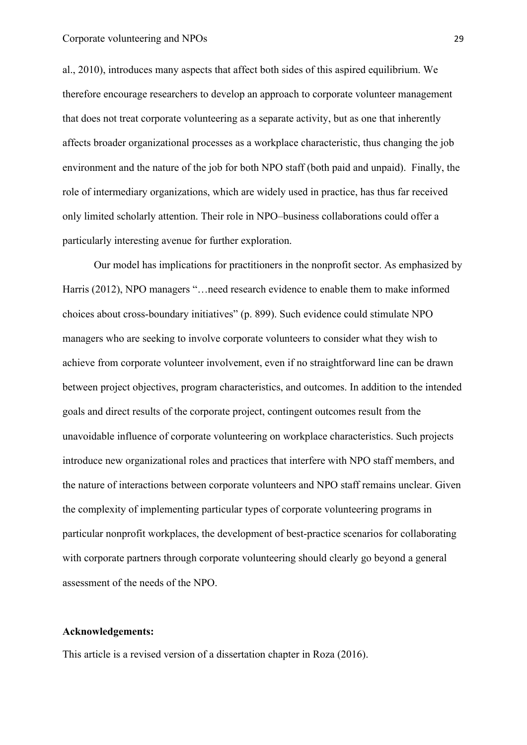al., 2010), introduces many aspects that affect both sides of this aspired equilibrium. We therefore encourage researchers to develop an approach to corporate volunteer management that does not treat corporate volunteering as a separate activity, but as one that inherently affects broader organizational processes as a workplace characteristic, thus changing the job environment and the nature of the job for both NPO staff (both paid and unpaid). Finally, the role of intermediary organizations, which are widely used in practice, has thus far received only limited scholarly attention. Their role in NPO–business collaborations could offer a particularly interesting avenue for further exploration.

Our model has implications for practitioners in the nonprofit sector. As emphasized by Harris (2012), NPO managers "…need research evidence to enable them to make informed choices about cross-boundary initiatives" (p. 899). Such evidence could stimulate NPO managers who are seeking to involve corporate volunteers to consider what they wish to achieve from corporate volunteer involvement, even if no straightforward line can be drawn between project objectives, program characteristics, and outcomes. In addition to the intended goals and direct results of the corporate project, contingent outcomes result from the unavoidable influence of corporate volunteering on workplace characteristics. Such projects introduce new organizational roles and practices that interfere with NPO staff members, and the nature of interactions between corporate volunteers and NPO staff remains unclear. Given the complexity of implementing particular types of corporate volunteering programs in particular nonprofit workplaces, the development of best-practice scenarios for collaborating with corporate partners through corporate volunteering should clearly go beyond a general assessment of the needs of the NPO.

#### **Acknowledgements:**

This article is a revised version of a dissertation chapter in Roza (2016).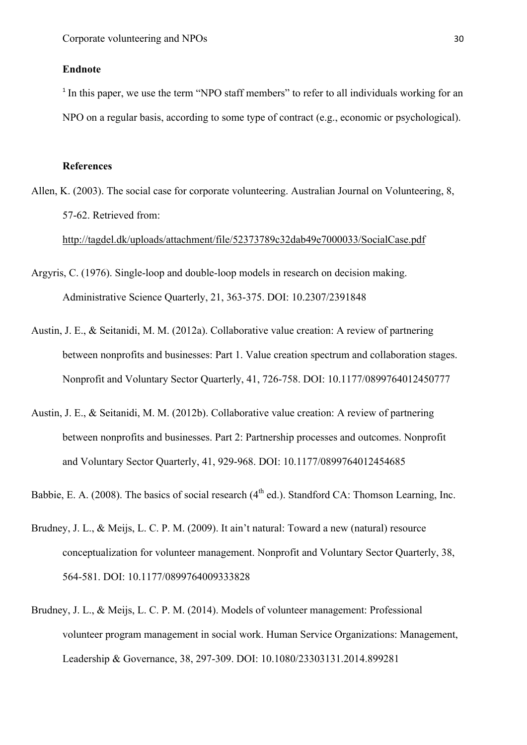## **Endnote**

<sup>1</sup> In this paper, we use the term "NPO staff members" to refer to all individuals working for an NPO on a regular basis, according to some type of contract (e.g., economic or psychological).

#### **References**

Allen, K. (2003). The social case for corporate volunteering. Australian Journal on Volunteering, 8, 57-62. Retrieved from:

http://tagdel.dk/uploads/attachment/file/52373789c32dab49e7000033/SocialCase.pdf

- Argyris, C. (1976). Single-loop and double-loop models in research on decision making. Administrative Science Quarterly, 21, 363-375. DOI: 10.2307/2391848
- Austin, J. E., & Seitanidi, M. M. (2012a). Collaborative value creation: A review of partnering between nonprofits and businesses: Part 1. Value creation spectrum and collaboration stages. Nonprofit and Voluntary Sector Quarterly, 41, 726-758. DOI: 10.1177/0899764012450777
- Austin, J. E., & Seitanidi, M. M. (2012b). Collaborative value creation: A review of partnering between nonprofits and businesses. Part 2: Partnership processes and outcomes. Nonprofit and Voluntary Sector Quarterly, 41, 929-968. DOI: 10.1177/0899764012454685
- Babbie, E. A. (2008). The basics of social research  $(4<sup>th</sup>$  ed.). Standford CA: Thomson Learning, Inc.
- Brudney, J. L., & Meijs, L. C. P. M. (2009). It ain't natural: Toward a new (natural) resource conceptualization for volunteer management. Nonprofit and Voluntary Sector Quarterly, 38, 564-581. DOI: 10.1177/0899764009333828
- Brudney, J. L., & Meijs, L. C. P. M. (2014). Models of volunteer management: Professional volunteer program management in social work. Human Service Organizations: Management, Leadership & Governance, 38, 297-309. DOI: 10.1080/23303131.2014.899281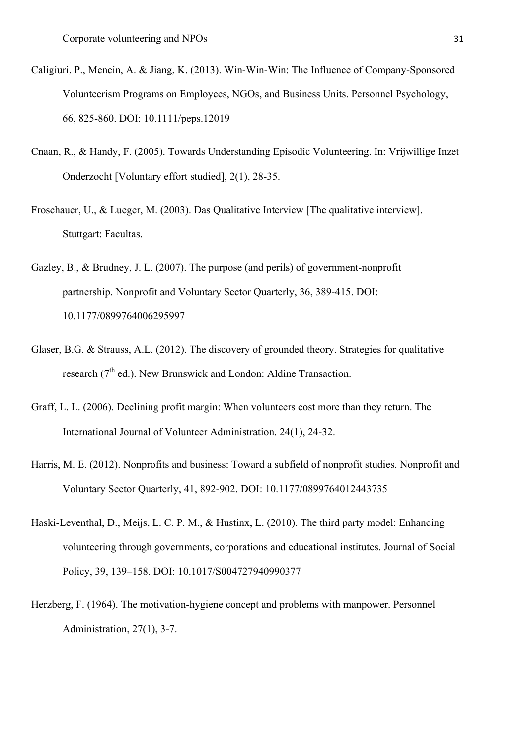- Caligiuri, P., Mencin, A. & Jiang, K. (2013). Win-Win-Win: The Influence of Company-Sponsored Volunteerism Programs on Employees, NGOs, and Business Units. Personnel Psychology, 66, 825-860. DOI: 10.1111/peps.12019
- Cnaan, R., & Handy, F. (2005). Towards Understanding Episodic Volunteering. In: Vrijwillige Inzet Onderzocht [Voluntary effort studied], 2(1), 28-35.
- Froschauer, U., & Lueger, M. (2003). Das Qualitative Interview [The qualitative interview]. Stuttgart: Facultas.
- Gazley, B., & Brudney, J. L. (2007). The purpose (and perils) of government-nonprofit partnership. Nonprofit and Voluntary Sector Quarterly, 36, 389-415. DOI: 10.1177/0899764006295997
- Glaser, B.G. & Strauss, A.L. (2012). The discovery of grounded theory. Strategies for qualitative research ( $7<sup>th</sup>$  ed.). New Brunswick and London: Aldine Transaction.
- Graff, L. L. (2006). Declining profit margin: When volunteers cost more than they return. The International Journal of Volunteer Administration. 24(1), 24-32.
- Harris, M. E. (2012). Nonprofits and business: Toward a subfield of nonprofit studies. Nonprofit and Voluntary Sector Quarterly, 41, 892-902. DOI: 10.1177/0899764012443735
- Haski-Leventhal, D., Meijs, L. C. P. M., & Hustinx, L. (2010). The third party model: Enhancing volunteering through governments, corporations and educational institutes. Journal of Social Policy, 39, 139–158. DOI: 10.1017/S004727940990377
- Herzberg, F. (1964). The motivation-hygiene concept and problems with manpower. Personnel Administration, 27(1), 3-7.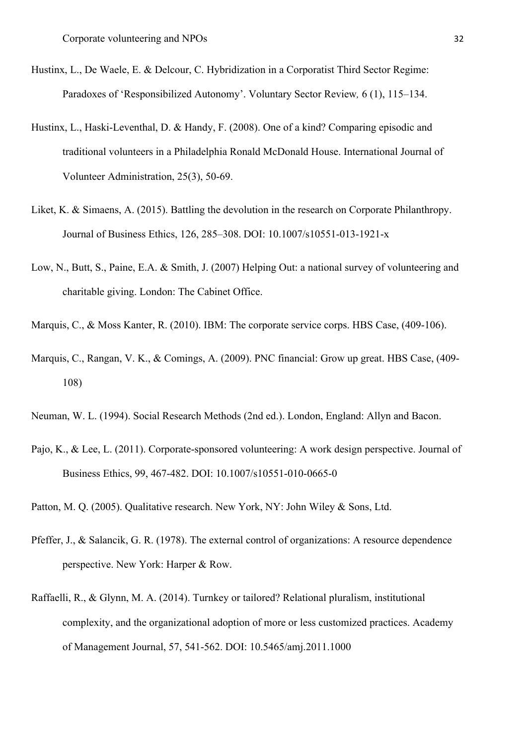- Hustinx, L., De Waele, E. & Delcour, C. Hybridization in a Corporatist Third Sector Regime: Paradoxes of 'Responsibilized Autonomy'. Voluntary Sector Review*,* 6 (1), 115–134.
- Hustinx, L., Haski-Leventhal, D. & Handy, F. (2008). One of a kind? Comparing episodic and traditional volunteers in a Philadelphia Ronald McDonald House. International Journal of Volunteer Administration, 25(3), 50-69.
- Liket, K. & Simaens, A. (2015). Battling the devolution in the research on Corporate Philanthropy. Journal of Business Ethics, 126, 285–308. DOI: 10.1007/s10551-013-1921-x
- Low, N., Butt, S., Paine, E.A. & Smith, J. (2007) Helping Out: a national survey of volunteering and charitable giving. London: The Cabinet Office.
- Marquis, C., & Moss Kanter, R. (2010). IBM: The corporate service corps. HBS Case, (409-106).
- Marquis, C., Rangan, V. K., & Comings, A. (2009). PNC financial: Grow up great. HBS Case, (409- 108)
- Neuman, W. L. (1994). Social Research Methods (2nd ed.). London, England: Allyn and Bacon.
- Pajo, K., & Lee, L. (2011). Corporate-sponsored volunteering: A work design perspective. Journal of Business Ethics, 99, 467-482. DOI: 10.1007/s10551-010-0665-0
- Patton, M. Q. (2005). Qualitative research. New York, NY: John Wiley & Sons, Ltd.
- Pfeffer, J., & Salancik, G. R. (1978). The external control of organizations: A resource dependence perspective. New York: Harper & Row.
- Raffaelli, R., & Glynn, M. A. (2014). Turnkey or tailored? Relational pluralism, institutional complexity, and the organizational adoption of more or less customized practices. Academy of Management Journal, 57, 541-562. DOI: 10.5465/amj.2011.1000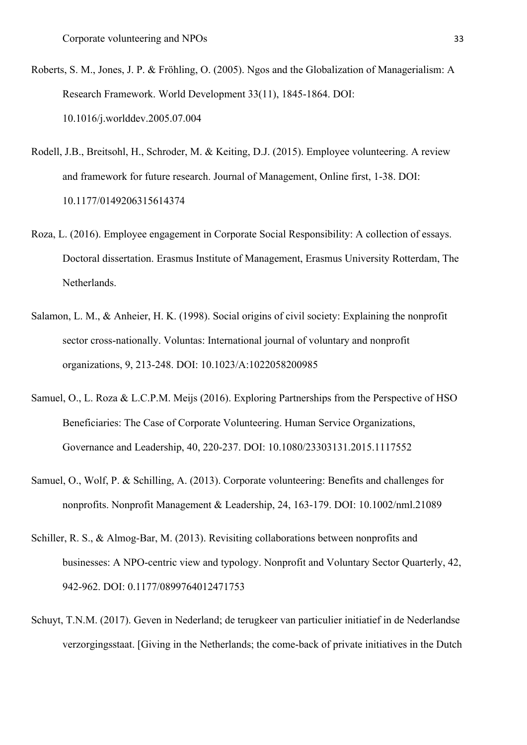- Roberts, S. M., Jones, J. P. & Fröhling, O. (2005). Ngos and the Globalization of Managerialism: A Research Framework. World Development 33(11), 1845-1864. DOI: 10.1016/j.worlddev.2005.07.004
- Rodell, J.B., Breitsohl, H., Schroder, M. & Keiting, D.J. (2015). Employee volunteering. A review and framework for future research. Journal of Management, Online first, 1-38. DOI: 10.1177/0149206315614374
- Roza, L. (2016). Employee engagement in Corporate Social Responsibility: A collection of essays. Doctoral dissertation. Erasmus Institute of Management, Erasmus University Rotterdam, The Netherlands.
- Salamon, L. M., & Anheier, H. K. (1998). Social origins of civil society: Explaining the nonprofit sector cross-nationally. Voluntas: International journal of voluntary and nonprofit organizations, 9, 213-248. DOI: 10.1023/A:1022058200985
- Samuel, O., L. Roza & L.C.P.M. Meijs (2016). Exploring Partnerships from the Perspective of HSO Beneficiaries: The Case of Corporate Volunteering. Human Service Organizations, Governance and Leadership, 40, 220-237. DOI: 10.1080/23303131.2015.1117552
- Samuel, O., Wolf, P. & Schilling, A. (2013). Corporate volunteering: Benefits and challenges for nonprofits. Nonprofit Management & Leadership, 24, 163-179. DOI: 10.1002/nml.21089
- Schiller, R. S., & Almog-Bar, M. (2013). Revisiting collaborations between nonprofits and businesses: A NPO-centric view and typology. Nonprofit and Voluntary Sector Quarterly, 42, 942-962. DOI: 0.1177/0899764012471753
- Schuyt, T.N.M. (2017). Geven in Nederland; de terugkeer van particulier initiatief in de Nederlandse verzorgingsstaat. [Giving in the Netherlands; the come-back of private initiatives in the Dutch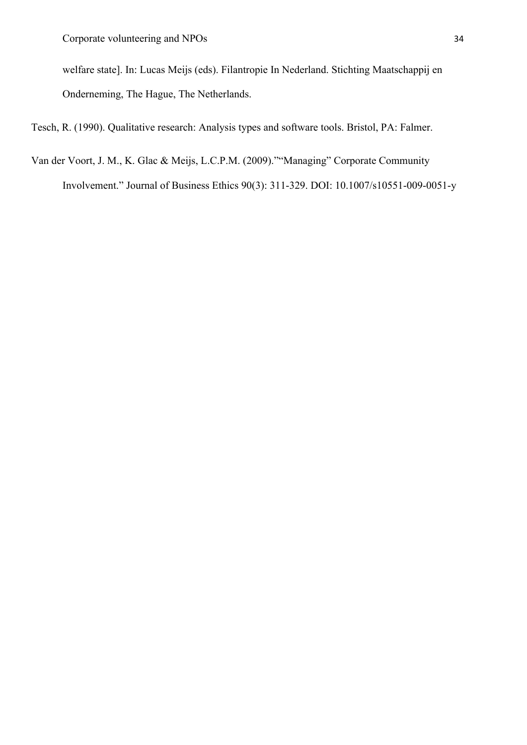welfare state]. In: Lucas Meijs (eds). Filantropie In Nederland. Stichting Maatschappij en Onderneming, The Hague, The Netherlands.

Tesch, R. (1990). Qualitative research: Analysis types and software tools. Bristol, PA: Falmer.

Van der Voort, J. M., K. Glac & Meijs, L.C.P.M. (2009).""Managing" Corporate Community Involvement." Journal of Business Ethics 90(3): 311-329. DOI: 10.1007/s10551-009-0051-y